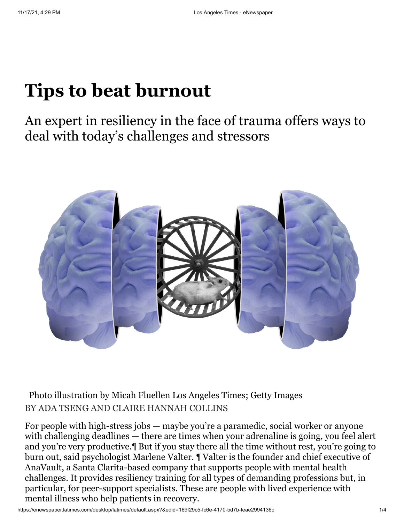# **Tips to beat burnout**

An expert in resiliency in the face of trauma offers ways to deal with today's challenges and stressors



BY ADA TSENG AND CLAIRE HANNAH COLLINS Photo illustration by Micah Fluellen Los Angeles Times; Getty Images

For people with high-stress jobs — maybe you're a paramedic, social worker or anyone with challenging deadlines — there are times when your adrenaline is going, you feel alert and you're very productive.¶ But if you stay there all the time without rest, you're going to burn out, said psychologist Marlene Valter. ¶ Valter is the founder and chief executive of AnaVault, a Santa Clarita-based company that supports people with mental health challenges. It provides resiliency training for all types of demanding professions but, in particular, for peer-support specialists. These are people with lived experience with mental illness who help patients in recovery.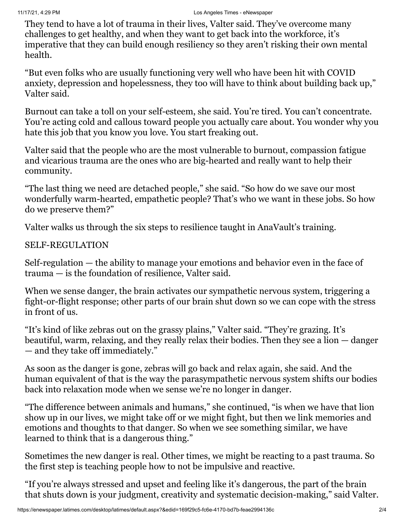They tend to have a lot of trauma in their lives, Valter said. They've overcome many challenges to get healthy, and when they want to get back into the workforce, it's imperative that they can build enough resiliency so they aren't risking their own mental health.

"But even folks who are usually functioning very well who have been hit with COVID anxiety, depression and hopelessness, they too will have to think about building back up," Valter said.

Burnout can take a toll on your self-esteem, she said. You're tired. You can't concentrate. You're acting cold and callous toward people you actually care about. You wonder why you hate this job that you know you love. You start freaking out.

Valter said that the people who are the most vulnerable to burnout, compassion fatigue and vicarious trauma are the ones who are big-hearted and really want to help their community.

"The last thing we need are detached people," she said. "So how do we save our most wonderfully warm-hearted, empathetic people? That's who we want in these jobs. So how do we preserve them?"

Valter walks us through the six steps to resilience taught in AnaVault's training.

#### SELF-REGULATION

Self-regulation — the ability to manage your emotions and behavior even in the face of trauma — is the foundation of resilience, Valter said.

When we sense danger, the brain activates our sympathetic nervous system, triggering a fight-or-flight response; other parts of our brain shut down so we can cope with the stress in front of us.

"It's kind of like zebras out on the grassy plains," Valter said. "They're grazing. It's beautiful, warm, relaxing, and they really relax their bodies. Then they see a lion — danger — and they take off immediately."

As soon as the danger is gone, zebras will go back and relax again, she said. And the human equivalent of that is the way the parasympathetic nervous system shifts our bodies back into relaxation mode when we sense we're no longer in danger.

"The difference between animals and humans," she continued, "is when we have that lion show up in our lives, we might take off or we might fight, but then we link memories and emotions and thoughts to that danger. So when we see something similar, we have learned to think that is a dangerous thing."

Sometimes the new danger is real. Other times, we might be reacting to a past trauma. So the first step is teaching people how to not be impulsive and reactive.

"If you're always stressed and upset and feeling like it's dangerous, the part of the brain that shuts down is your judgment, creativity and systematic decision-making," said Valter.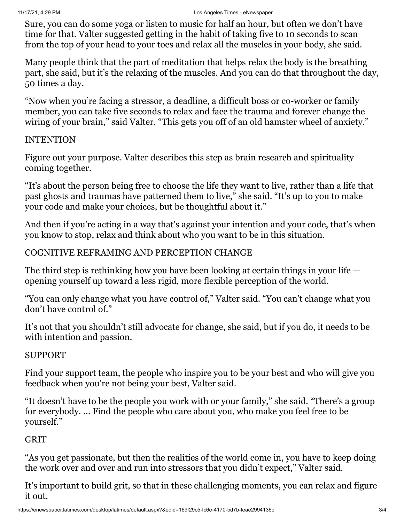Sure, you can do some yoga or listen to music for half an hour, but often we don't have time for that. Valter suggested getting in the habit of taking five to 10 seconds to scan from the top of your head to your toes and relax all the muscles in your body, she said.

Many people think that the part of meditation that helps relax the body is the breathing part, she said, but it's the relaxing of the muscles. And you can do that throughout the day, 50 times a day.

"Now when you're facing a stressor, a deadline, a difficult boss or co-worker or family member, you can take five seconds to relax and face the trauma and forever change the wiring of your brain," said Valter. "This gets you off of an old hamster wheel of anxiety."

#### INTENTION

Figure out your purpose. Valter describes this step as brain research and spirituality coming together.

"It's about the person being free to choose the life they want to live, rather than a life that past ghosts and traumas have patterned them to live," she said. "It's up to you to make your code and make your choices, but be thoughtful about it."

And then if you're acting in a way that's against your intention and your code, that's when you know to stop, relax and think about who you want to be in this situation.

#### COGNITIVE REFRAMING AND PERCEPTION CHANGE

The third step is rethinking how you have been looking at certain things in your life opening yourself up toward a less rigid, more flexible perception of the world.

"You can only change what you have control of," Valter said. "You can't change what you don't have control of."

It's not that you shouldn't still advocate for change, she said, but if you do, it needs to be with intention and passion.

## SUPPORT

Find your support team, the people who inspire you to be your best and who will give you feedback when you're not being your best, Valter said.

"It doesn't have to be the people you work with or your family," she said. "There's a group for everybody. ... Find the people who care about you, who make you feel free to be yourself."

## **GRIT**

"As you get passionate, but then the realities of the world come in, you have to keep doing the work over and over and run into stressors that you didn't expect," Valter said.

It's important to build grit, so that in these challenging moments, you can relax and figure it out.